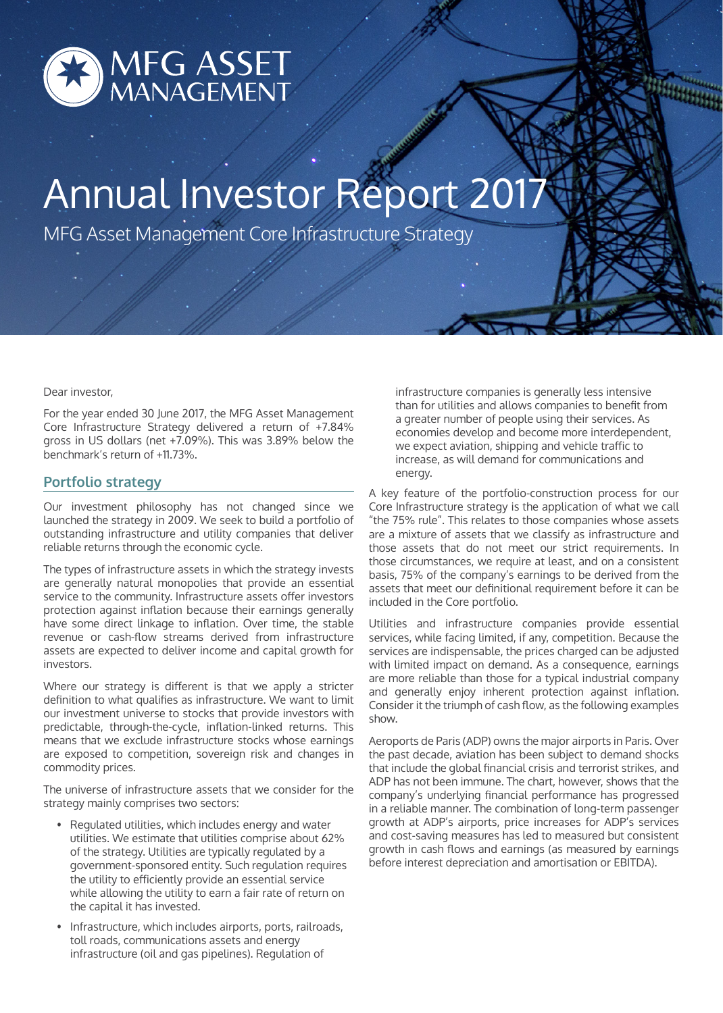

# Annual Investor Report 2017

MFG Asset Management Core Infrastructure Strategy

#### Dear investor,

For the year ended 30 June 2017, the MFG Asset Management Core Infrastructure Strategy delivered a return of +7.84% gross in US dollars (net +7.09%). This was 3.89% below the benchmark's return of +11.73%.

## **Portfolio strategy**

Our investment philosophy has not changed since we launched the strategy in 2009. We seek to build a portfolio of outstanding infrastructure and utility companies that deliver reliable returns through the economic cycle.

The types of infrastructure assets in which the strategy invests are generally natural monopolies that provide an essential service to the community. Infrastructure assets offer investors protection against inflation because their earnings generally have some direct linkage to inflation. Over time, the stable revenue or cash-flow streams derived from infrastructure assets are expected to deliver income and capital growth for investors.

Where our strategy is different is that we apply a stricter definition to what qualifies as infrastructure. We want to limit our investment universe to stocks that provide investors with predictable, through-the-cycle, inflation-linked returns. This means that we exclude infrastructure stocks whose earnings are exposed to competition, sovereign risk and changes in commodity prices.

The universe of infrastructure assets that we consider for the strategy mainly comprises two sectors:

- Regulated utilities, which includes energy and water utilities. We estimate that utilities comprise about 62% of the strategy. Utilities are typically regulated by a government-sponsored entity. Such regulation requires the utility to efficiently provide an essential service while allowing the utility to earn a fair rate of return on the capital it has invested.
- Infrastructure, which includes airports, ports, railroads, toll roads, communications assets and energy infrastructure (oil and gas pipelines). Regulation of

infrastructure companies is generally less intensive than for utilities and allows companies to benefit from a greater number of people using their services. As economies develop and become more interdependent, we expect aviation, shipping and vehicle traffic to increase, as will demand for communications and energy.

A key feature of the portfolio-construction process for our Core Infrastructure strategy is the application of what we call "the 75% rule". This relates to those companies whose assets are a mixture of assets that we classify as infrastructure and those assets that do not meet our strict requirements. In those circumstances, we require at least, and on a consistent basis, 75% of the company's earnings to be derived from the assets that meet our definitional requirement before it can be included in the Core portfolio.

Utilities and infrastructure companies provide essential services, while facing limited, if any, competition. Because the services are indispensable, the prices charged can be adjusted with limited impact on demand. As a consequence, earnings are more reliable than those for a typical industrial company and generally enjoy inherent protection against inflation. Consider it the triumph of cash flow, as the following examples show.

Aeroports de Paris (ADP) owns the major airports in Paris. Over the past decade, aviation has been subject to demand shocks that include the global financial crisis and terrorist strikes, and ADP has not been immune. The chart, however, shows that the company's underlying financial performance has progressed in a reliable manner. The combination of long-term passenger growth at ADP's airports, price increases for ADP's services and cost-saving measures has led to measured but consistent growth in cash flows and earnings (as measured by earnings before interest depreciation and amortisation or EBITDA).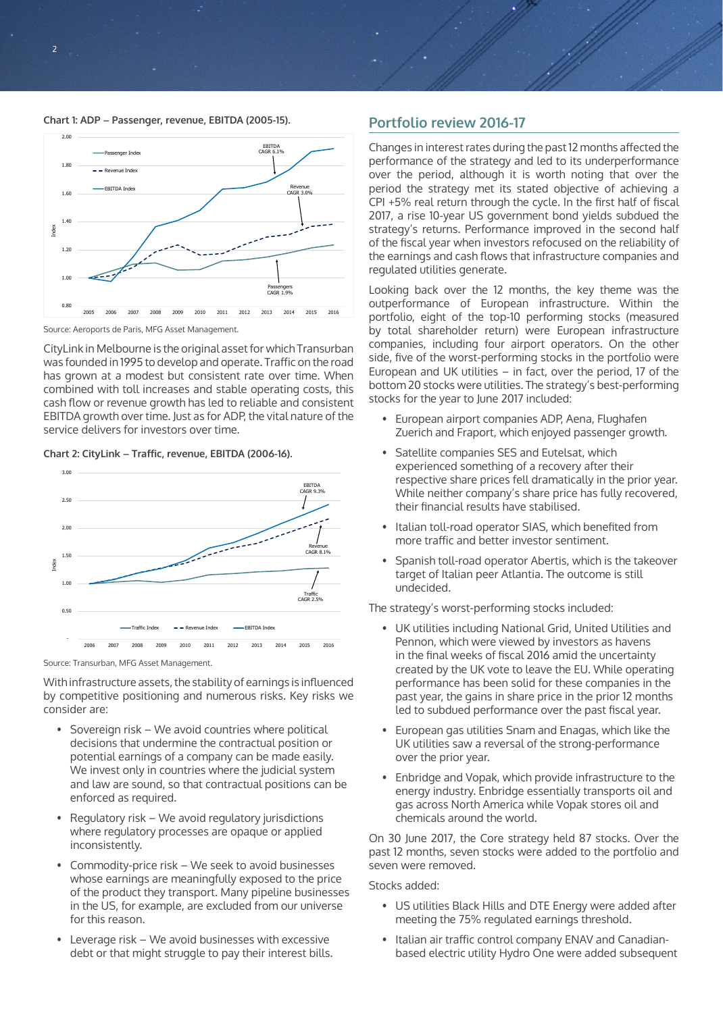



Source: Aeroports de Paris, MFG Asset Management.

CityLink in Melbourne is the original asset for which Transurban was founded in 1995 to develop and operate. Traffic on the road has grown at a modest but consistent rate over time. When combined with toll increases and stable operating costs, this cash flow or revenue growth has led to reliable and consistent EBITDA growth over time. Just as for ADP, the vital nature of the service delivers for investors over time.

**Chart 2: CityLink – Traffic, revenue, EBITDA (2006-16).**



Source: Transurban, MFG Asset Management.

With infrastructure assets, the stability of earnings is influenced by competitive positioning and numerous risks. Key risks we consider are:

- Sovereign risk We avoid countries where political decisions that undermine the contractual position or potential earnings of a company can be made easily. We invest only in countries where the judicial system and law are sound, so that contractual positions can be enforced as required.
- Regulatory risk We avoid regulatory jurisdictions where regulatory processes are opaque or applied inconsistently.
- Commodity-price risk We seek to avoid businesses whose earnings are meaningfully exposed to the price of the product they transport. Many pipeline businesses in the US, for example, are excluded from our universe for this reason.
- Leverage risk We avoid businesses with excessive debt or that might struggle to pay their interest bills.

# **Portfolio review 2016-17**

Changes in interest rates during the past 12 months affected the performance of the strategy and led to its underperformance over the period, although it is worth noting that over the period the strategy met its stated objective of achieving a CPI +5% real return through the cycle. In the first half of fiscal 2017, a rise 10-year US government bond yields subdued the strategy's returns. Performance improved in the second half of the fiscal year when investors refocused on the reliability of the earnings and cash flows that infrastructure companies and regulated utilities generate.

Looking back over the 12 months, the key theme was the outperformance of European infrastructure. Within the portfolio, eight of the top-10 performing stocks (measured by total shareholder return) were European infrastructure companies, including four airport operators. On the other side, five of the worst-performing stocks in the portfolio were European and UK utilities – in fact, over the period, 17 of the bottom 20 stocks were utilities. The strategy's best-performing stocks for the year to June 2017 included:

- European airport companies ADP, Aena, Flughafen Zuerich and Fraport, which enjoyed passenger growth.
- Satellite companies SES and Eutelsat, which experienced something of a recovery after their respective share prices fell dramatically in the prior year. While neither company's share price has fully recovered, their financial results have stabilised.
- Italian toll-road operator SIAS, which benefited from more traffic and better investor sentiment.
- Spanish toll-road operator Abertis, which is the takeover target of Italian peer Atlantia. The outcome is still undecided.

The strategy's worst-performing stocks included:

- UK utilities including National Grid, United Utilities and Pennon, which were viewed by investors as havens in the final weeks of fiscal 2016 amid the uncertainty created by the UK vote to leave the EU. While operating performance has been solid for these companies in the past year, the gains in share price in the prior 12 months led to subdued performance over the past fiscal year.
- European gas utilities Snam and Enagas, which like the UK utilities saw a reversal of the strong-performance over the prior year.
- Enbridge and Vopak, which provide infrastructure to the energy industry. Enbridge essentially transports oil and gas across North America while Vopak stores oil and chemicals around the world.

On 30 June 2017, the Core strategy held 87 stocks. Over the past 12 months, seven stocks were added to the portfolio and seven were removed.

#### Stocks added:

- US utilities Black Hills and DTE Energy were added after meeting the 75% regulated earnings threshold.
- Italian air traffic control company ENAV and Canadianbased electric utility Hydro One were added subsequent

 $\overline{2}$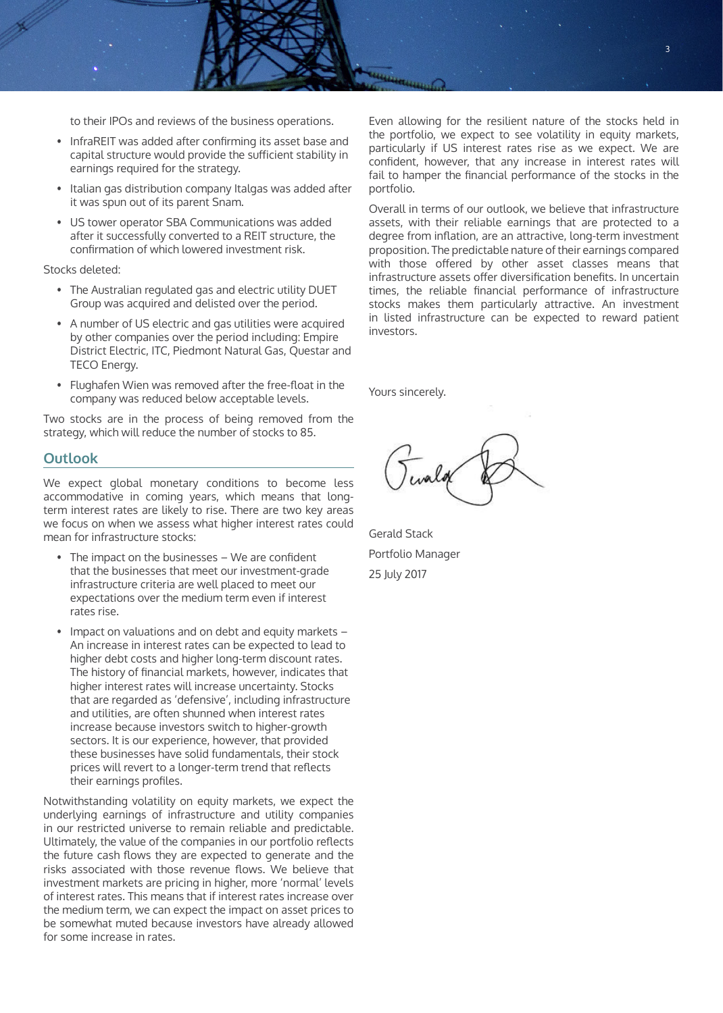to their IPOs and reviews of the business operations.

- InfraREIT was added after confirming its asset base and capital structure would provide the sufficient stability in earnings required for the strategy.
- Italian gas distribution company Italgas was added after it was spun out of its parent Snam.
- US tower operator SBA Communications was added after it successfully converted to a REIT structure, the confirmation of which lowered investment risk.

Stocks deleted:

- The Australian regulated gas and electric utility DUET Group was acquired and delisted over the period.
- A number of US electric and gas utilities were acquired by other companies over the period including: Empire District Electric, ITC, Piedmont Natural Gas, Questar and TECO Energy.
- Flughafen Wien was removed after the free-float in the company was reduced below acceptable levels.

Two stocks are in the process of being removed from the strategy, which will reduce the number of stocks to 85.

### **Outlook**

We expect global monetary conditions to become less accommodative in coming years, which means that longterm interest rates are likely to rise. There are two key areas we focus on when we assess what higher interest rates could mean for infrastructure stocks:

- The impact on the businesses We are confident that the businesses that meet our investment-grade infrastructure criteria are well placed to meet our expectations over the medium term even if interest rates rise.
- Impact on valuations and on debt and equity markets An increase in interest rates can be expected to lead to higher debt costs and higher long-term discount rates. The history of financial markets, however, indicates that higher interest rates will increase uncertainty. Stocks that are regarded as 'defensive', including infrastructure and utilities, are often shunned when interest rates increase because investors switch to higher-growth sectors. It is our experience, however, that provided these businesses have solid fundamentals, their stock prices will revert to a longer-term trend that reflects their earnings profiles.

Notwithstanding volatility on equity markets, we expect the underlying earnings of infrastructure and utility companies in our restricted universe to remain reliable and predictable. Ultimately, the value of the companies in our portfolio reflects the future cash flows they are expected to generate and the risks associated with those revenue flows. We believe that investment markets are pricing in higher, more 'normal' levels of interest rates. This means that if interest rates increase over the medium term, we can expect the impact on asset prices to be somewhat muted because investors have already allowed for some increase in rates.

Even allowing for the resilient nature of the stocks held in the portfolio, we expect to see volatility in equity markets, particularly if US interest rates rise as we expect. We are confident, however, that any increase in interest rates will fail to hamper the financial performance of the stocks in the portfolio.

Overall in terms of our outlook, we believe that infrastructure assets, with their reliable earnings that are protected to a degree from inflation, are an attractive, long-term investment proposition. The predictable nature of their earnings compared with those offered by other asset classes means that infrastructure assets offer diversification benefits. In uncertain times, the reliable financial performance of infrastructure stocks makes them particularly attractive. An investment in listed infrastructure can be expected to reward patient investors.

Yours sincerely.

Gerald Stack Portfolio Manager 25 July 2017